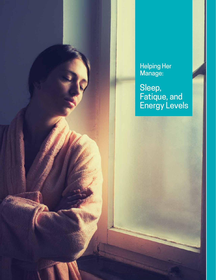Helping Her Manage:

Sleep, Fatique, and Energy Levels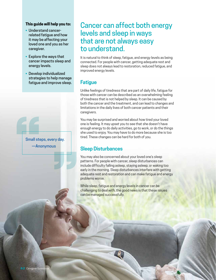#### **This guide will help you to:**

- Understand cancerrelated fatigue and how it may be affecting your loved one and you as her caregiver.
- Explore the ways that cancer impacts sleep and energy levels.
- Develop individualized strategies to help manage fatigue and improve sleep.

Small ste Small steps, every day. —Anonymous

T

# Cancer can affect both energy levels and sleep in ways that are not always easy to understand.

It is natural to think of sleep, fatigue, and energy levels as being connected. For people with cancer, getting adequate rest and sleep does not always lead to restoration, reduced fatigue, and improved energy levels.

# **Fatigue**

Unlike feelings of tiredness that are part of daily life, fatigue for those with cancer can be described as an overwhelming feeling of tiredness that is not helped by sleep. It can be caused by both the cancer and the treatment, and can lead to changes and limitations in the daily lives of both cancer patients and their caregivers.

You may be surprised and worried about how tired your loved one is feeling. It may upset you to see that she doesn't have enough energy to do daily activities, go to work, or do the things she used to enjoy. You may have to do more because she is too tired. These changes can be hard for both of you.

## **Sleep Disturbances**

You may also be concerned about your loved one's sleep patterns. For people with cancer, sleep disturbances can include difficulty falling asleep, staying asleep, or waking too early in the morning. Sleep disturbances interfere with getting adequate rest and restoration and can make fatigue and energy problems worse.

While sleep, fatigue and energy levels in cancer can be challenging to deal with, the good news is that these issues can be managed successfully.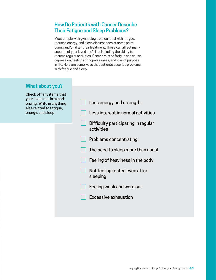# **How Do Patients with Cancer Describe Their Fatigue and Sleep Problems?**

Most people with gynecologic cancer deal with fatigue, reduced energy, and sleep disturbances at some point during and/or after their treatment. These can affect many aspects of your loved one's life, including the ability to resume regular activities. Cancer-related fatigue can cause depression, feelings of hopelessness, and loss of purpose in life. Here are some ways that patients describe problems with fatigue and sleep:

# **What about you?**

Check off any items that your loved one is experiencing. Write in anything else related to fatigue, energy, and sleep

| Less energy and strength                          |
|---------------------------------------------------|
| Less interest in normal activities                |
| Difficulty participating in regular<br>activities |
| Problems concentrating                            |
| The need to sleep more than usual                 |
| Feeling of heaviness in the body                  |
| Not feeling rested even after<br>sleeping         |
| Feeling weak and worn out                         |
| Excessive exhaustion                              |
|                                                   |
|                                                   |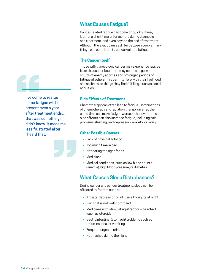I've come<br>some fat<br>present e<br>after trea<br>that was<br>didn't kno I've come to realize some fatigue will be present even a year after treatment ends... that was something I didn't know. It made me less frustrated after I heard that.

# **What Causes Fatigue?**

Cancer-related fatigue can come on quickly. It may last for a short time or for months during diagnosis and treatment, and even beyond the end of treatment. Although the exact causes differ between people, many things can contribute to cancer-related fatigue.

### **The Cancer Itself**

Those with gynecologic cancer may experience fatigue from the cancer itself that may come and go, with spurts of energy at times and prolonged periods of fatigue at others. This can interfere with their livelihood and ability to do things they find fulfilling, such as social activities.

## **Side Effects of Treatment**

Chemotherapy can often lead to fatigue. Combinations of chemotherapy and radiation therapy given at the same time can make fatigue worse. Other symptoms or side effects can also increase fatigue, including pain, problems sleeping, and depression, anxiety, or worry.

## **Other Possible Causes**

- Lack of physical activity
- Too much time in bed
- Not eating the right foods
- Medicines

**EC**<br>
<br>
<br>
<br>
<br><br><br><br><br><br><br><br><br><br><br>

• Medical conditions, such as low blood counts (anemia), high blood pressure, or diabetes

# **What Causes Sleep Disturbances?**

During cancer and cancer treatment, sleep can be affected by factors such as:

- Anxiety, depression or intrusive thoughts at night
- Pain that is not well-controlled
- Medicines with stimulating effect or side effect (such as steroids)
- Gastrointestinal (stomach) problems such as reflux, nausea, or vomiting
- Frequent urges to urinate
- Hot flashes during the night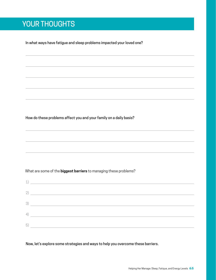# YOUR THOUGHTS

In what ways have fatigue and sleep problems impacted your loved one?

How do these problems affect you and your family on a daily basis?

What are some of the **biggest barriers** to managing these problems?

|    | $\left( \begin{array}{ccc} 1 \end{array} \right)$ |
|----|---------------------------------------------------|
|    | 2)                                                |
|    | $\left(3\right)$                                  |
| 4) |                                                   |
| 5) |                                                   |

Now, let's explore some strategies and ways to help you overcome these barriers.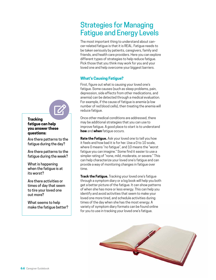# Strategies for Managing Fatigue and Energy Levels

The most important thing to understand about cancer-related fatigue is that it is REAL. Fatigue needs to be taken seriously by patients, caregivers, family and friends, and health care providers. Here you can explore different types of strategies to help reduce fatigue. Pick those that you think may work for you and your loved one and help overcome your biggest barriers.

## **What's Causing Fatigue?**

First, figure out what is causing your loved one's fatigue. Some causes (such as sleep problems, pain, depression, side effects from other medications, and anemia) can be detected through a medical evaluation. For example, if the cause of fatigue is anemia (a low number of red blood cells), then treating the anemia will reduce fatigue.

Once other medical conditions are addressed, there may be additional strategies that you can use to improve fatigue. A good place to start is to understand **how** and **when** fatigue occurs.

**Rate the Fatigue.** Ask your loved one to tell you how it feels and how bad it is for her. Use a 0 to 10 scale where 0 means "no fatigue", and 10 means the "worst fatigue you can imagine." Some find it easier to use a simpler rating of "none, mild, moderate, or severe." This can help characterize your loved one's fatigue and can provide a way of monitoring changes in fatigue over time.

**Track the Fatigue.** Tracking your loved one's fatigue through a symptom diary or a log book will help you both get a better picture of the fatigue. It can show patterns of when she has more or less energy. This can help you identify and avoid activities that seem to make your loved one more tired, and schedule activities during times of the day when she has the most energy. A variety of symptom diary formats can be found online for you to use in tracking your loved one's fatigue.





Are there patterns to the fatigue during the day?

Are there patterns to the fatigue during the week?

What is happening when the fatigue is at its worst?

Are there activities or times of day that seem to tire your loved one out more?

What seems to help make the fatigue better?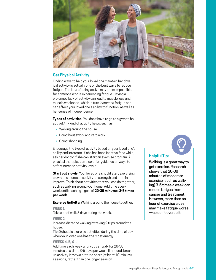

## **Get Physical Activity**

Finding ways to help your loved one maintain her physical activity is actually one of the best ways to reduce fatigue. The idea of being active may seem impossible for someone who is experiencing fatigue. Having a prolonged lack of activity can lead to muscle loss and muscle weakness, which in turn *increases* fatigue and can affect your loved one's ability to function, as well as her sense of independence.

**Types of activities.** You don't have to go to a gym to be active! Any kind of activity helps, such as:

- Walking around the house
- Doing housework and yard work
- Going shopping

Encourage the type of activity based on your loved one's ability and interests. If she has been inactive for a while, ask her doctor if she can start an exercise program. A physical therapist can also offer guidance on ways to safely increase activity levels.

**Start out slowly.** Your loved one should start exercising slowly and increase activity as strength and stamina improve. Think about activities that you can do together, such as walking around your home. Add time every week until reaching a goal of **20-30 minutes, 3-5 times per week.**

**Exercise Activity:** Walking around the house together.

#### **WEEK 1**

Take a brief walk 3 days during the week.

#### **WEEK 2**

Increase distance walking by taking 2 trips around the house.

**Tip:** Schedule exercise activities during the time of day when your loved one has the most energy.

#### **WEEKS 4, 5, 6 ...**

Add time each week until you can walk for 20-30 minutes at a time, 3-5 days per week. If needed, break up activity into two or three short (at least 10-minute) sessions, rather than one longer session.

### **Helpful Tip:**

Walking is a great way to get exercise. Research shows that 20-30 minutes of moderate exercise (such as walking) 3-5 times a week can reduce fatigue from cancer and treatment. However, more than an hour of exercise a day may make fatigue worse —so don't overdo it!

 $\bigcirc$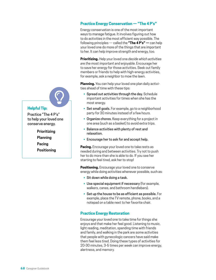# **Helpful Tip:**

Practice "The 4 P's" to help your loved one conserve energy.

 $\bigcirc$ 

**Prioritizing Planning Pacing Positioning**

## **Practice Energy Conservation — "The 4 P's"**

Energy conservation is one of the most important ways to manage fatigue. It involves figuring out how to do activities in the most efficient way possible. The following principles — called the **"The 4 P's" —** can help your loved one do more of the things that are important to her. It can help improve strength and energy, too.

**Prioritizing.** Help your loved one *decide which activities are the most important and enjoyable*. Encourage her to save her energy for those activities. Seek out family members or friends to help with high-energy activities, for example, ask a neighbor to mow the lawn.

**Planning.** You can help your loved one plan daily activities ahead of time with these tips:

- Spread out activities through the day. Schedule important activities for times when she has the most energy.
- Set small goals. For example, go to a neighborhood party for 30 minutes instead of a few hours.
- Organize chores. Keep everything for a project in one area (such as a basket) to avoid extra trips.
- Balance activities with plenty of rest and relaxation.
- Encourage her to ask for and accept help.

**Pacing.** Encourage your loved one to take rests as needed during and between activities. Try not to push her to do more than she is able to do. If you see her starting to feel tired, ask her to stop!

**Positioning.** Encourage your loved one to conserve energy while doing activities whenever possible, such as:

- Sit down while doing a task.
- Use special equipment if necessary (for example, walkers, canes, and bathroom handlebars).
- Set up the house to be as efficient as possible. For example, place the TV remote, phone, books, and a notepad on a table next to her favorite chair.

### **Practice Energy Restoration**

Encourage your loved one to take time for things she enjoys and that make her feel good. Listening to music, light reading, meditation, spending time with friends and family, and walking in the park are some activities that people with gynecologic cancers have said make them feel less tired. Doing these types of activities for 20-30 minutes, 3-5 times per week can improve energy, alertness, and memory.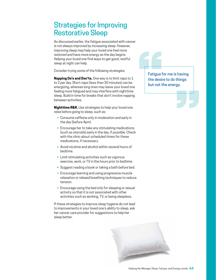# Strategies for Improving Restorative Sleep

As discussed earlier, the fatigue associated with cancer is not always improved by increasing sleep. However, improving sleep may help your loved one feel more restored and have more energy as the day begins. Helping your loved one find ways to get good, restful sleep at night can help.

Consider trying some of the following strategies:

**Napping Do's and Don'ts.** One way is to limit naps to 1 to 2 per day. Short naps (less than 30 minutes) can be energizing, whereas long ones may leave your loved one feeling more fatigued and may interfere with nighttime sleep. Build in time for breaks that don't involve napping between activities.

**Nighttime R&R.** Use strategies to help your loved one relax before going to sleep, such as:

- Consume caffeine only in moderation and early in the day (before 4pm).
- Encourage her to take any stimulating medications (such as steroids) early in the day, if possible. Check with the clinic about scheduled times for these medications, if necessary.
- Avoid nicotine and alcohol within several hours of bedtime.
- Limit stimulating activities such as vigorous exercise, work, or TV in the hours prior to bedtime.
- Suggest reading a book or taking a bath before bed.
- Encourage learning and using progressive muscle relaxation or relaxed breathing techniques to reduce tension.
- Encourage using the bed only for sleeping or sexual activity so that it is not associated with other activities such as working, TV, or being sleepless.

If these strategies to improve sleep hygiene do not lead to improvements in your loved one's ability to sleep, ask her cancer care provider for suggestions to help her sleep better.



Fatigue for the desire Fatigue for me is having the desire to do things but not the energy.

**EC**<br>
<br>
<br>
<br>
<br><br><br><br><br><br><br><br><br><br><br>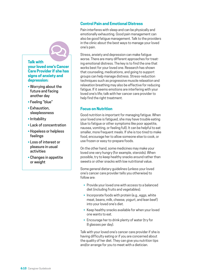# **Talk with your loved one's Cancer Care Provider if she has signs of anxiety and depression:**  $\boldsymbol{\mathcal{Q}}$

- Worrying about the future and facing another day
- Feeling "blue"
- Exhaustion, sleeplessness
- Irritability
- Lack of concentration
- Hopeless or helpless feelings
- Loss of interest or pleasure in usual activities
- Changes in appetite or weight

## **Control Pain and Emotional Distress**

Pain interferes with sleep and can be physically and emotionally exhausting. Good pain management can also be good fatigue management. Talk to the providers in the clinic about the best ways to manage your loved one's pain.

Stress, anxiety and depression can make fatigue worse. There are many different approaches for treating emotional distress. The key is to find the one that works best for your loved one. Research has shown that counseling, medications, and going to support groups can help manage distress. Stress-reduction techniques such as progressive muscle relaxation and relaxation breathing may also be effective for reducing fatigue. If it seems emotions are interfering with your loved one's life; talk with her cancer care provider to help find the right treatment.

## **Focus on Nutrition**

Good nutrition is important for managing fatigue. When your loved one is fatigued, she may have trouble eating (due to fatigue or other symptoms like poor appetite, nausea, vomiting, or feeling full). It can be helpful to eat smaller, more frequent meals. If she is too tired to make food, encourage her to allow someone else to cook, or use frozen or easy-to-prepare foods.

On the other hand, some medicines may make your loved one very hungry (for example, steroids). When possible, try to keep healthy snacks around rather than sweets or other snacks with low nutritional value.

Some general dietary guidelines (unless your loved one's cancer care provider tells you otherwise) to follow are:

- Provide your loved one with access to a balanced diet (including fruits and vegetables).
- Incorporate foods with protein (e.g., eggs, white meat, beans, milk, cheese, yogurt, and lean beef) into your loved one's diet.
- Keep healthy snacks available for when your loved one wants to eat.
- Encourage her to drink plenty of water (try for 8 glasses per day).

Talk with your loved one's cancer care provider if she is having difficulty eating or if you are concerned about the quality of her diet. They can give you nutrition tips and/or arrange for you to meet with a dietician.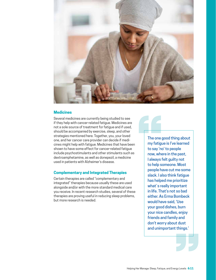

#### **Medicines**

Several medicines are currently being studied to see if they help with cancer-related fatigue. Medicines are not a sole source of treatment for fatigue and if used, should be accompanied by exercise, sleep, and other strategies mentioned here. Together, you, your loved one, and her cancer care provider can decide if medicines might help with fatigue. Medicines that have been shown to have some effect for cancer-related fatigue include psychostimulants and other stimulants such as dextroamphetamine, as well as donepezil, a medicine used in patients with Alzheimer's disease.

### **Complementary and Integrated Therapies**

Certain therapies are called "complementary and integrated" therapies because usually these are used alongside and/or with the more standard medical care you receive. In recent research studies, several of these therapies are proving useful in reducing sleep problems, but more research is needed.

The one g<br>
my fatigu<br>
to say 'no<br>
now, whe<br>
l always f<br>
to help so The one good thing about my fatigue is I've learned to say 'no' to people now, where in the past, I always felt guilty not to help someone. Most people have cut me some slack. I also think fatigue has helped me prioritize what`s really important in life. That's not so bad either. As Erma Bombeck would have said, 'Use your good dishes, burn your nice candles, enjoy friends and family and don't worry about dust and unimportant things.'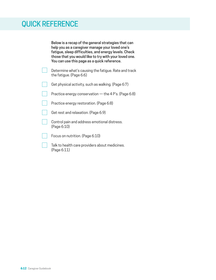# QUICK REFERENCE

Below is a recap of the general strategies that can help you as a caregiver manage your loved one's fatigue, sleep difficulties, and energy levels. Check those that you would like to try with your loved one. You can use this page as a quick reference.

| Determine what's causing the fatigue. Rate and track<br>the fatique. (Page 6:6) |
|---------------------------------------------------------------------------------|
| Get physical activity, such as walking. (Page 6:7)                              |

Practice energy conservation — the 4 P's. (Page 6:8)

- Practice energy restoration. (Page 6:8)
- Get rest and relaxation. (Page 6:9)
- Control pain and address emotional distress. (Page 6:10)
- Focus on nutrition. (Page 6:10)

Talk to health care providers about medicines. (Page 6:11)